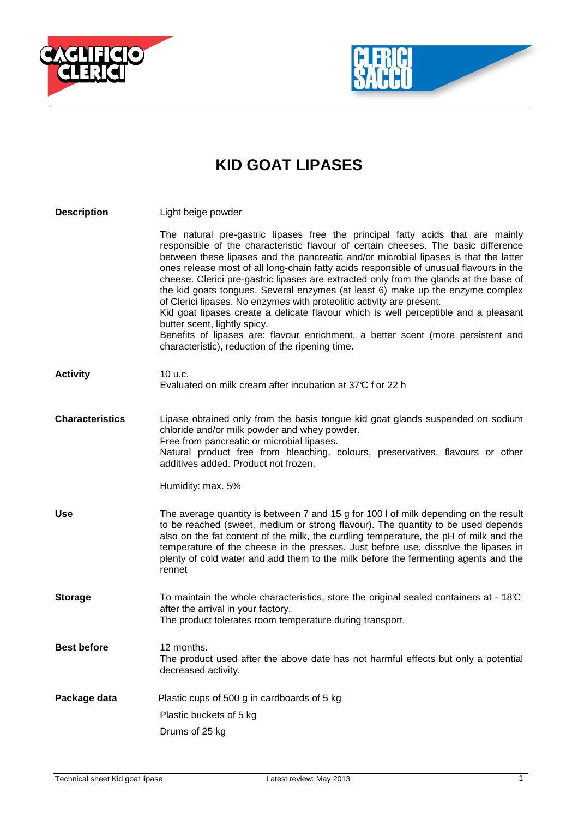



## **KID GOAT LIPASES**

| <b>Description</b>     | Light beige powder                                                                                                                                                                                                                                                                                                                                                                                                                                                                                                                                                                                                                                                                                                                                                                                                                                                        |
|------------------------|---------------------------------------------------------------------------------------------------------------------------------------------------------------------------------------------------------------------------------------------------------------------------------------------------------------------------------------------------------------------------------------------------------------------------------------------------------------------------------------------------------------------------------------------------------------------------------------------------------------------------------------------------------------------------------------------------------------------------------------------------------------------------------------------------------------------------------------------------------------------------|
|                        | The natural pre-gastric lipases free the principal fatty acids that are mainly<br>responsible of the characteristic flavour of certain cheeses. The basic difference<br>between these lipases and the pancreatic and/or microbial lipases is that the latter<br>ones release most of all long-chain fatty acids responsible of unusual flavours in the<br>cheese. Clerici pre-gastric lipases are extracted only from the glands at the base of<br>the kid goats tongues. Several enzymes (at least 6) make up the enzyme complex<br>of Clerici lipases. No enzymes with proteolitic activity are present.<br>Kid goat lipases create a delicate flavour which is well perceptible and a pleasant<br>butter scent, lightly spicy.<br>Benefits of lipases are: flavour enrichment, a better scent (more persistent and<br>characteristic), reduction of the ripening time. |
| <b>Activity</b>        | 10 u.c.<br>Evaluated on milk cream after incubation at 37°C f or 22 h                                                                                                                                                                                                                                                                                                                                                                                                                                                                                                                                                                                                                                                                                                                                                                                                     |
| <b>Characteristics</b> | Lipase obtained only from the basis tongue kid goat glands suspended on sodium<br>chloride and/or milk powder and whey powder.<br>Free from pancreatic or microbial lipases.<br>Natural product free from bleaching, colours, preservatives, flavours or other<br>additives added. Product not frozen.<br>Humidity: max. 5%                                                                                                                                                                                                                                                                                                                                                                                                                                                                                                                                               |
|                        |                                                                                                                                                                                                                                                                                                                                                                                                                                                                                                                                                                                                                                                                                                                                                                                                                                                                           |
| <b>Use</b>             | The average quantity is between 7 and 15 g for 100 l of milk depending on the result<br>to be reached (sweet, medium or strong flavour). The quantity to be used depends<br>also on the fat content of the milk, the curdling temperature, the pH of milk and the<br>temperature of the cheese in the presses. Just before use, dissolve the lipases in<br>plenty of cold water and add them to the milk before the fermenting agents and the<br>rennet                                                                                                                                                                                                                                                                                                                                                                                                                   |
| <b>Storage</b>         | To maintain the whole characteristics, store the original sealed containers at - $18\degree$<br>after the arrival in your factory.<br>The product tolerates room temperature during transport.                                                                                                                                                                                                                                                                                                                                                                                                                                                                                                                                                                                                                                                                            |
| <b>Best before</b>     | 12 months.<br>The product used after the above date has not harmful effects but only a potential<br>decreased activity.                                                                                                                                                                                                                                                                                                                                                                                                                                                                                                                                                                                                                                                                                                                                                   |
| Package data           | Plastic cups of 500 g in cardboards of 5 kg                                                                                                                                                                                                                                                                                                                                                                                                                                                                                                                                                                                                                                                                                                                                                                                                                               |
|                        | Plastic buckets of 5 kg                                                                                                                                                                                                                                                                                                                                                                                                                                                                                                                                                                                                                                                                                                                                                                                                                                                   |
|                        | Drums of 25 kg                                                                                                                                                                                                                                                                                                                                                                                                                                                                                                                                                                                                                                                                                                                                                                                                                                                            |